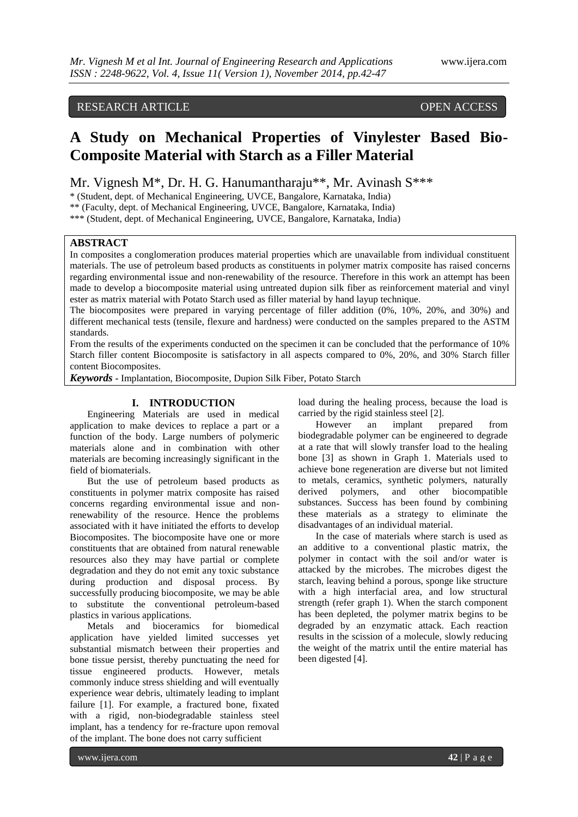# RESEARCH ARTICLE OPEN ACCESS

# **A Study on Mechanical Properties of Vinylester Based Bio-Composite Material with Starch as a Filler Material**

Mr. Vignesh M\*, Dr. H. G. Hanumantharaju\*\*, Mr. Avinash S\*\*\*

\* (Student, dept. of Mechanical Engineering, UVCE, Bangalore, Karnataka, India)

\*\* (Faculty, dept. of Mechanical Engineering, UVCE, Bangalore, Karnataka, India)

\*\*\* (Student, dept. of Mechanical Engineering, UVCE, Bangalore, Karnataka, India)

# **ABSTRACT**

In composites a conglomeration produces material properties which are unavailable from individual constituent materials. The use of petroleum based products as constituents in polymer matrix composite has raised concerns regarding environmental issue and non-renewability of the resource. Therefore in this work an attempt has been made to develop a biocomposite material using untreated dupion silk fiber as reinforcement material and vinyl ester as matrix material with Potato Starch used as filler material by hand layup technique.

The biocomposites were prepared in varying percentage of filler addition (0%, 10%, 20%, and 30%) and different mechanical tests (tensile, flexure and hardness) were conducted on the samples prepared to the ASTM standards.

From the results of the experiments conducted on the specimen it can be concluded that the performance of 10% Starch filler content Biocomposite is satisfactory in all aspects compared to 0%, 20%, and 30% Starch filler content Biocomposites.

*Keywords* **-** Implantation, Biocomposite, Dupion Silk Fiber, Potato Starch

# **I. INTRODUCTION**

Engineering Materials are used in medical application to make devices to replace a part or a function of the body. Large numbers of polymeric materials alone and in combination with other materials are becoming increasingly significant in the field of biomaterials.

But the use of petroleum based products as constituents in polymer matrix composite has raised concerns regarding environmental issue and nonrenewability of the resource. Hence the problems associated with it have initiated the efforts to develop Biocomposites. The biocomposite have one or more constituents that are obtained from natural renewable resources also they may have partial or complete degradation and they do not emit any toxic substance during production and disposal process. By successfully producing biocomposite, we may be able to substitute the conventional petroleum-based plastics in various applications.

Metals and bioceramics for biomedical application have yielded limited successes yet substantial mismatch between their properties and bone tissue persist, thereby punctuating the need for tissue engineered products. However, metals commonly induce stress shielding and will eventually experience wear debris, ultimately leading to implant failure [1]. For example, a fractured bone, fixated with a rigid, non-biodegradable stainless steel implant, has a tendency for re-fracture upon removal of the implant. The bone does not carry sufficient

load during the healing process, because the load is carried by the rigid stainless steel [2].

However an implant prepared from biodegradable polymer can be engineered to degrade at a rate that will slowly transfer load to the healing bone [3] as shown in Graph 1. Materials used to achieve bone regeneration are diverse but not limited to metals, ceramics, synthetic polymers, naturally derived polymers, and other biocompatible substances. Success has been found by combining these materials as a strategy to eliminate the disadvantages of an individual material.

In the case of materials where starch is used as an additive to a conventional plastic matrix, the polymer in contact with the soil and/or water is attacked by the microbes. The microbes digest the starch, leaving behind a porous, sponge like structure with a high interfacial area, and low structural strength (refer graph 1). When the starch component has been depleted, the polymer matrix begins to be degraded by an enzymatic attack. Each reaction results in the scission of a molecule, slowly reducing the weight of the matrix until the entire material has been digested [4].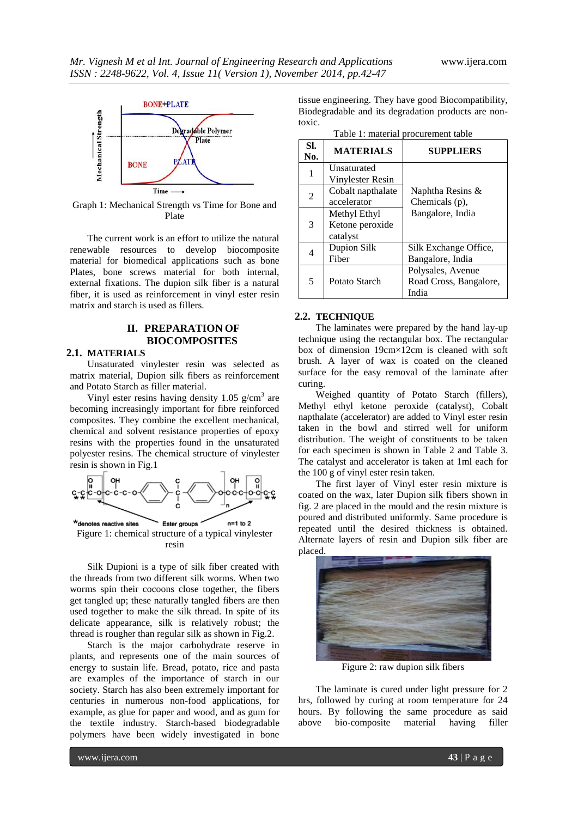

Graph 1: Mechanical Strength vs Time for Bone and Plate

The current work is an effort to utilize the natural renewable resources to develop biocomposite material for biomedical applications such as bone Plates, bone screws material for both internal, external fixations. The dupion silk fiber is a natural fiber, it is used as reinforcement in vinyl ester resin matrix and starch is used as fillers.

# **II. PREPARATION OF BIOCOMPOSITES**

#### **2.1. MATERIALS**

Unsaturated vinylester resin was selected as matrix material, Dupion silk fibers as reinforcement and Potato Starch as filler material.

Vinyl ester resins having density  $1.05$  g/cm<sup>3</sup> are becoming increasingly important for fibre reinforced composites. They combine the excellent mechanical, chemical and solvent resistance properties of epoxy resins with the properties found in the unsaturated polyester resins. The chemical structure of vinylester resin is shown in Fig.1



resin

Silk Dupioni is a type of silk fiber created with the threads from two different silk worms. When two worms spin their cocoons close together, the fibers get tangled up; these naturally tangled fibers are then used together to make the silk thread. In spite of its delicate appearance, silk is relatively robust; the thread is rougher than regular silk as shown in Fig.2.

Starch is the major carbohydrate reserve in plants, and represents one of the main sources of energy to sustain life. Bread, potato, rice and pasta are examples of the importance of starch in our society. Starch has also been extremely important for centuries in numerous non-food applications, for example, as glue for paper and wood, and as gum for the textile industry. Starch-based biodegradable polymers have been widely investigated in bone

tissue engineering. They have good Biocompatibility, Biodegradable and its degradation products are nontoxic.

| SI.<br>No. | <b>MATERIALS</b>  | <b>SUPPLIERS</b>       |
|------------|-------------------|------------------------|
| 1          | Unsaturated       |                        |
|            | Vinylester Resin  |                        |
| 2          | Cobalt napthalate | Naphtha Resins $\&$    |
|            | accelerator       | Chemicals (p),         |
| 3          | Methyl Ethyl      | Bangalore, India       |
|            | Ketone peroxide   |                        |
|            | catalyst          |                        |
| 4          | Dupion Silk       | Silk Exchange Office,  |
|            | Fiber             | Bangalore, India       |
| 5          |                   | Polysales, Avenue      |
|            | Potato Starch     | Road Cross, Bangalore, |
|            |                   | India                  |

Table 1: material procurement table

#### **2.2. TECHNIQUE**

The laminates were prepared by the hand lay-up technique using the rectangular box. The rectangular box of dimension 19cm×12cm is cleaned with soft brush. A layer of wax is coated on the cleaned surface for the easy removal of the laminate after curing.

Weighed quantity of Potato Starch (fillers), Methyl ethyl ketone peroxide (catalyst), Cobalt napthalate (accelerator) are added to Vinyl ester resin taken in the bowl and stirred well for uniform distribution. The weight of constituents to be taken for each specimen is shown in Table 2 and Table 3. The catalyst and accelerator is taken at 1ml each for the 100 g of vinyl ester resin taken.

The first layer of Vinyl ester resin mixture is coated on the wax, later Dupion silk fibers shown in fig. 2 are placed in the mould and the resin mixture is poured and distributed uniformly. Same procedure is repeated until the desired thickness is obtained. Alternate layers of resin and Dupion silk fiber are placed.



Figure 2: raw dupion silk fibers

The laminate is cured under light pressure for 2 hrs, followed by curing at room temperature for 24 hours. By following the same procedure as said above bio-composite material having filler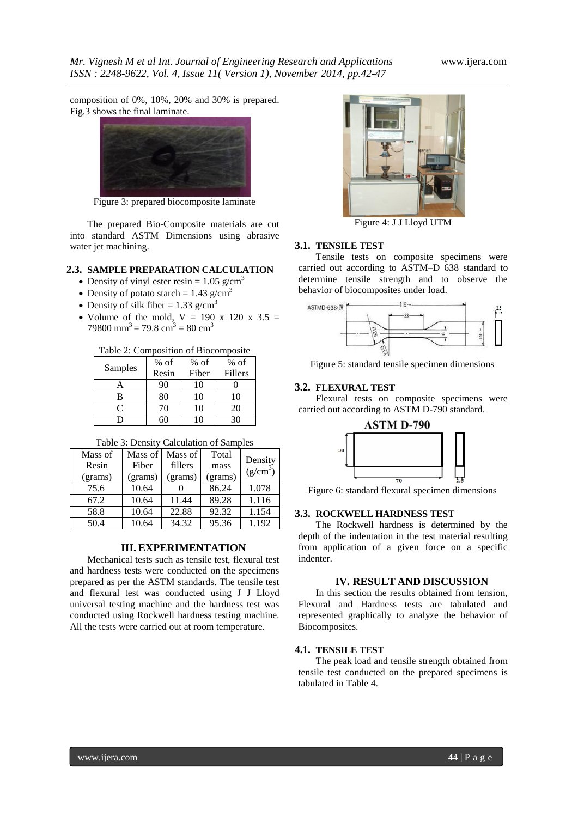composition of 0%, 10%, 20% and 30% is prepared. Fig.3 shows the final laminate.



Figure 3: prepared biocomposite laminate

The prepared Bio-Composite materials are cut into standard ASTM Dimensions using abrasive water jet machining.

# **2.3. SAMPLE PREPARATION CALCULATION**

- Density of vinyl ester resin =  $1.05$  g/cm<sup>3</sup>
- Density of potato starch =  $1.43$  g/cm<sup>3</sup>
- Density of silk fiber = 1.33 g/cm<sup>3</sup>
- Volume of the mold,  $V = 190 \times 120 \times 3.5 =$ 79800 mm<sup>3</sup> = 79.8 cm<sup>3</sup> = 80 cm<sup>3</sup>

#### Table 2: Composition of Biocomposite

| Samples | $%$ of | $%$ of | $%$ of  |
|---------|--------|--------|---------|
|         | Resin  | Fiber  | Fillers |
|         | 90     | 10     |         |
| В       | 80     | 10     | 10      |
| ⊂       | 70     | 10     | 20      |
|         | 60     | 10     | 30      |

#### Table 3: Density Calculation of Samples

| Mass of<br>Resin<br>(grams) | Mass of<br>Fiber<br>(grams) | Mass of<br>fillers<br>(grams) | Total<br>mass<br>(grams) | Density<br>$(g/cm^3)$ |
|-----------------------------|-----------------------------|-------------------------------|--------------------------|-----------------------|
| 75.6                        | 10.64                       |                               | 86.24                    | 1.078                 |
| 67.2                        | 10.64                       | 11.44                         | 89.28                    | 1.116                 |
| 58.8                        | 10.64                       | 22.88                         | 92.32                    | 1.154                 |
| 50.4                        | 10.64                       | 34.32                         | 95.36                    | 1.192                 |

# **III. EXPERIMENTATION**

Mechanical tests such as tensile test, flexural test and hardness tests were conducted on the specimens prepared as per the ASTM standards. The tensile test and flexural test was conducted using J J Lloyd universal testing machine and the hardness test was conducted using Rockwell hardness testing machine. All the tests were carried out at room temperature.



Figure 4: J J Lloyd UTM

# **3.1. TENSILE TEST**

Tensile tests on composite specimens were carried out according to ASTM–D 638 standard to determine tensile strength and to observe the behavior of biocomposites under load.



Figure 5: standard tensile specimen dimensions

#### **3.2. FLEXURAL TEST**

Flexural tests on composite specimens were carried out according to ASTM D-790 standard.



Figure 6: standard flexural specimen dimensions

# **3.3. ROCKWELL HARDNESS TEST**

The Rockwell hardness is determined by the depth of the indentation in the test material resulting from application of a given force on a specific indenter.

# **IV. RESULT AND DISCUSSION**

In this section the results obtained from tension, Flexural and Hardness tests are tabulated and represented graphically to analyze the behavior of Biocomposites.

#### **4.1. TENSILE TEST**

The peak load and tensile strength obtained from tensile test conducted on the prepared specimens is tabulated in Table 4.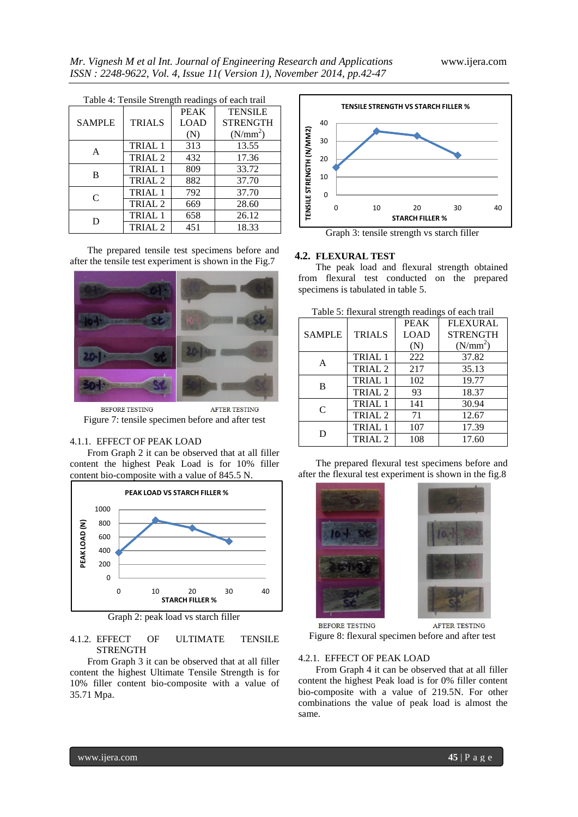| Table 4: Tensile Strength readings of each trail |                    |             |                      |
|--------------------------------------------------|--------------------|-------------|----------------------|
|                                                  |                    | <b>PEAK</b> | <b>TENSILE</b>       |
| <b>SAMPLE</b>                                    | <b>TRIALS</b>      | <b>LOAD</b> | <b>STRENGTH</b>      |
|                                                  |                    | (N)         | (N/mm <sup>2</sup> ) |
| A                                                | <b>TRIAL 1</b>     | 313         | 13.55                |
|                                                  | TRIAL <sub>2</sub> | 432         | 17.36                |
| В                                                | <b>TRIAL 1</b>     | 809         | 33.72                |
|                                                  | TRIAL <sub>2</sub> | 882         | 37.70                |
| $\mathcal{C}_{\mathcal{C}}$                      | TRIAL <sub>1</sub> | 792         | 37.70                |
|                                                  | TRIAL <sub>2</sub> | 669         | 28.60                |
|                                                  | TRIAL <sub>1</sub> | 658         | 26.12                |
|                                                  | TRIAL <sub>2</sub> | 451         | 18.33                |

The prepared tensile test specimens before and after the tensile test experiment is shown in the Fig.7



BEFORE TESTING AFTER TESTING Figure 7: tensile specimen before and after test

# 4.1.1. EFFECT OF PEAK LOAD

From Graph 2 it can be observed that at all filler content the highest Peak Load is for 10% filler content bio-composite with a value of 845.5 N.



Graph 2: peak load vs starch filler

# 4.1.2. EFFECT OF ULTIMATE TENSILE STRENGTH

From Graph 3 it can be observed that at all filler content the highest Ultimate Tensile Strength is for 10% filler content bio-composite with a value of 35.71 Mpa.



Graph 3: tensile strength vs starch filler

# **4.2. FLEXURAL TEST**

The peak load and flexural strength obtained from flexural test conducted on the prepared specimens is tabulated in table 5.

| I avie 5. Hexulai stieligui readiligs of each trafi |                    |             |                      |
|-----------------------------------------------------|--------------------|-------------|----------------------|
|                                                     |                    | <b>PEAK</b> | <b>FLEXURAL</b>      |
| <b>SAMPLE</b>                                       | <b>TRIALS</b>      | LOAD        | <b>STRENGTH</b>      |
|                                                     |                    | (N)         | (N/mm <sup>2</sup> ) |
| А                                                   | TRIAL 1            | 222         | 37.82                |
|                                                     | TRIAL <sub>2</sub> | 217         | 35.13                |
| B                                                   | <b>TRIAL 1</b>     | 102         | 19.77                |
|                                                     | TRIAL <sub>2</sub> | 93          | 18.37                |
| $\subset$                                           | TRIAL 1            | 141         | 30.94                |
|                                                     | TRIAL <sub>2</sub> | 71          | 12.67                |
| D                                                   | TRIAL 1            | 107         | 17.39                |
|                                                     | TRIAL <sub>2</sub> | 108         | 17.60                |

Table 5: flexural strength readings of each trail

The prepared flexural test specimens before and after the flexural test experiment is shown in the fig.8





BEFORE TESTING **AFTER TESTING** Figure 8: flexural specimen before and after test

# 4.2.1. EFFECT OF PEAK LOAD

From Graph 4 it can be observed that at all filler content the highest Peak load is for 0% filler content bio-composite with a value of 219.5N. For other combinations the value of peak load is almost the same.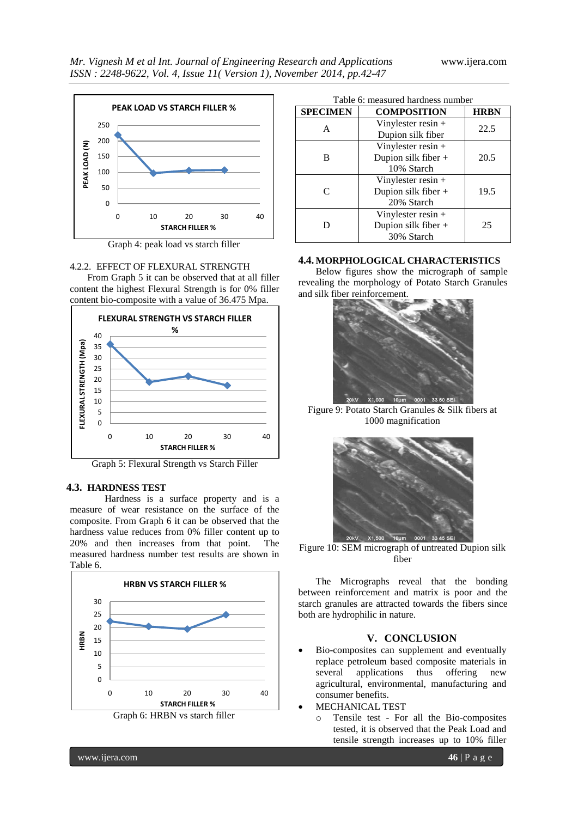

Graph 4: peak load vs starch filler

#### 4.2.2. EFFECT OF FLEXURAL STRENGTH

From Graph 5 it can be observed that at all filler content the highest Flexural Strength is for 0% filler content bio-composite with a value of 36.475 Mpa.



Graph 5: Flexural Strength vs Starch Filler

# **4.3. HARDNESS TEST**

Hardness is a surface property and is a measure of wear resistance on the surface of the composite. From Graph 6 it can be observed that the hardness value reduces from 0% filler content up to 20% and then increases from that point. The measured hardness number test results are shown in Table 6.



| <b>SPECIMEN</b> | <b>COMPOSITION</b>    | <b>HRBN</b> |
|-----------------|-----------------------|-------------|
| А               | Vinylester resin $+$  | 22.5        |
|                 | Dupion silk fiber     |             |
|                 | Vinylester resin $+$  |             |
| в               | Dupion silk fiber +   | 20.5        |
|                 | 10% Starch            |             |
|                 | Vinylester resin $+$  |             |
| C               | Dupion silk fiber +   | 19.5        |
|                 | 20% Starch            |             |
|                 | Vinylester resin $+$  |             |
|                 | Dupion silk fiber $+$ | 25          |
|                 | 30% Starch            |             |

# **4.4. MORPHOLOGICAL CHARACTERISTICS**

Below figures show the micrograph of sample revealing the morphology of Potato Starch Granules and silk fiber reinforcement.



Figure 9: Potato Starch Granules & Silk fibers at 1000 magnification



Figure 10: SEM micrograph of untreated Dupion silk fiber

The Micrographs reveal that the bonding between reinforcement and matrix is poor and the starch granules are attracted towards the fibers since both are hydrophilic in nature.

# **V. CONCLUSION**

- Bio-composites can supplement and eventually replace petroleum based composite materials in several applications thus offering new agricultural, environmental, manufacturing and consumer benefits.
- MECHANICAL TEST
	- o Tensile test For all the Bio-composites tested, it is observed that the Peak Load and tensile strength increases up to 10% filler